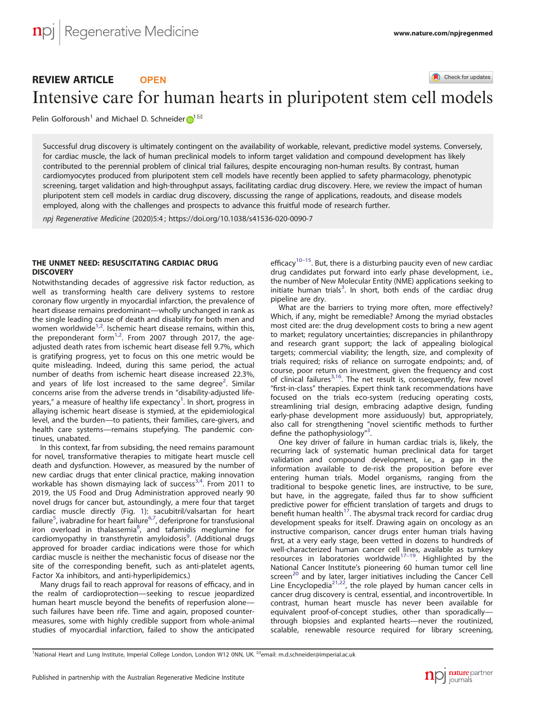#### Check for updates

# REVIEW ARTICLE **OPEN** Intensive care for human hearts in pluripotent stem ce[ll](http://crossmark.crossref.org/dialog/?doi=10.1038/s41536-020-0090-7&domain=pdf) [models](http://crossmark.crossref.org/dialog/?doi=10.1038/s41536-020-0090-7&domain=pdf)

Pelin Golforoush<sup>[1](http://orcid.org/0000-0001-9645-1938)</sup> and Michael D. Schneider  $\mathbb{D}^{1\boxtimes 1}$ 

Successful drug discovery is ultimately contingent on the availability of workable, relevant, predictive model systems. Conversely, for cardiac muscle, the lack of human preclinical models to inform target validation and compound development has likely contributed to the perennial problem of clinical trial failures, despite encouraging non-human results. By contrast, human cardiomyocytes produced from pluripotent stem cell models have recently been applied to safety pharmacology, phenotypic screening, target validation and high-throughput assays, facilitating cardiac drug discovery. Here, we review the impact of human pluripotent stem cell models in cardiac drug discovery, discussing the range of applications, readouts, and disease models employed, along with the challenges and prospects to advance this fruitful mode of research further.

npj Regenerative Medicine (2020) 5:4 ; https://doi.org/10.[1038/s41536-020-0090-7](https://doi.org/10.1038/s41536-020-0090-7)

## THE UNMET NEED: RESUSCITATING CARDIAC DRUG **DISCOVERY**

Notwithstanding decades of aggressive risk factor reduction, as well as transforming health care delivery systems to restore coronary flow urgently in myocardial infarction, the prevalence of heart disease remains predominant—wholly unchanged in rank as the single leading cause of death and disability for both men and women worldwide<sup>[1,2](#page-6-0)</sup>. Ischemic heart disease remains, within this, the preponderant form<sup>[1,2](#page-6-0)</sup>. From 2007 through 2017, the ageadjusted death rates from ischemic heart disease fell 9.7%, which is gratifying progress, yet to focus on this one metric would be quite misleading. Indeed, during this same period, the actual number of deaths from ischemic heart disease increased 22.3%, and years of life lost increased to the same degree<sup>[2](#page-6-0)</sup>. Similar concerns arise from the adverse trends in "disability-adjusted life-years," a measure of healthy life expectancy<sup>[1](#page-6-0)</sup>. In short, progress in allaying ischemic heart disease is stymied, at the epidemiological level, and the burden—to patients, their families, care-givers, and health care systems—remains stupefying. The pandemic continues, unabated.

In this context, far from subsiding, the need remains paramount for novel, transformative therapies to mitigate heart muscle cell death and dysfunction. However, as measured by the number of new cardiac drugs that enter clinical practice, making innovation workable has shown dismaying lack of success<sup>[3](#page-6-0),[4](#page-6-0)</sup>. From 2011 to 2019, the US Food and Drug Administration approved nearly 90 novel drugs for cancer but, astoundingly, a mere four that target cardiac muscle directly (Fig. [1](#page-1-0)): sacubitril/valsartan for heart failure<sup>[5](#page-6-0)</sup>, ivabradine for heart failure<sup>[6,7](#page-6-0)</sup>, deferiprone for transfusional iron overload in thalassemia $^8$  $^8$ , and tafamidis meglumine for cardiomyopathy in transthyretin amyloidosis<sup>9</sup>. (Additional drugs approved for broader cardiac indications were those for which cardiac muscle is neither the mechanistic focus of disease nor the site of the corresponding benefit, such as anti-platelet agents, Factor Xa inhibitors, and anti-hyperlipidemics.)

Many drugs fail to reach approval for reasons of efficacy, and in the realm of cardioprotection—seeking to rescue jeopardized human heart muscle beyond the benefits of reperfusion alone such failures have been rife. Time and again, proposed countermeasures, some with highly credible support from whole-animal studies of myocardial infarction, failed to show the anticipated efficacy<sup>[10](#page-6-0)–[15](#page-6-0)</sup>. But, there is a disturbing paucity even of new cardiac drug candidates put forward into early phase development, i.e., the number of New Molecular Entity (NME) applications seeking to initiate human trials<sup>[3](#page-6-0)</sup>. In short, both ends of the cardiac drug pipeline are dry.

What are the barriers to trying more often, more effectively? Which, if any, might be remediable? Among the myriad obstacles most cited are: the drug development costs to bring a new agent to market; regulatory uncertainties; discrepancies in philanthropy and research grant support; the lack of appealing biological targets; commercial viability; the length, size, and complexity of trials required; risks of reliance on surrogate endpoints; and, of course, poor return on investment, given the frequency and cost of clinical failures<sup>3,16</sup>. The net result is, consequently, few novel "first-in-class" therapies. Expert think tank recommendations have focused on the trials eco-system (reducing operating costs, streamlining trial design, embracing adaptive design, funding early-phase development more assiduously) but, appropriately, also call for strengthening "novel scientific methods to further define the pathophysiology"<sup>[3](#page-6-0)</sup> .

One key driver of failure in human cardiac trials is, likely, the recurring lack of systematic human preclinical data for target validation and compound development, i.e., a gap in the information available to de-risk the proposition before ever entering human trials. Model organisms, ranging from the traditional to bespoke genetic lines, are instructive, to be sure, but have, in the aggregate, failed thus far to show sufficient predictive power for efficient translation of targets and drugs to benefit human health<sup>[17](#page-6-0)</sup>. The abysmal track record for cardiac drug development speaks for itself. Drawing again on oncology as an instructive comparison, cancer drugs enter human trials having first, at a very early stage, been vetted in dozens to hundreds of well-characterized human cancer cell lines, available as turnkey resources in laboratories worldwide<sup>[17](#page-6-0)-19</sup>. Highlighted by the National Cancer Institute's pioneering 60 human tumor cell line screen $^{20}$  $^{20}$  $^{20}$  and by later, larger initiatives including the Cancer Cell Line Encyclopedia<sup>[21](#page-6-0),[22](#page-6-0)</sup>, the role played by human cancer cells in cancer drug discovery is central, essential, and incontrovertible. In contrast, human heart muscle has never been available for equivalent proof-of-concept studies, other than sporadically through biopsies and explanted hearts—never the routinized, scalable, renewable resource required for library screening,

<sup>&</sup>lt;sup>1</sup>National Heart and Lung Institute, Imperial College London, London W12 0NN, UK. <sup>⊠</sup>email: [m.d.schneider@imperial.ac.uk](mailto:m.d.schneider@imperial.ac.uk)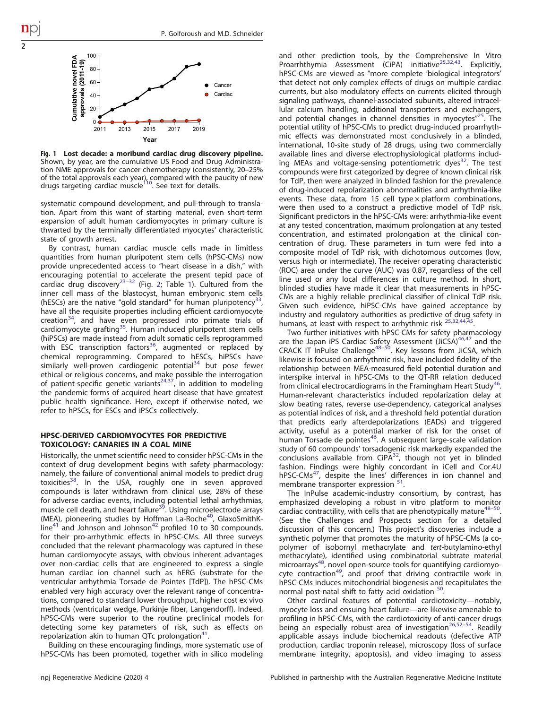<span id="page-1-0"></span>

2

Fig. 1 Lost decade: a moribund cardiac drug discovery pipeline. Shown, by year, are the cumulative US Food and Drug Administration NME approvals for cancer chemotherapy (consistently, 20–25% of the total approvals each year), compared with the paucity of new<br>drugs targeting cardiac muscle<sup>110</sup>. See text for details.

systematic compound development, and pull-through to translation. Apart from this want of starting material, even short-term expansion of adult human cardiomyocytes in primary culture is thwarted by the terminally differentiated myocytes' characteristic state of growth arrest.

By contrast, human cardiac muscle cells made in limitless quantities from human pluripotent stem cells (hPSC-CMs) now provide unprecedented access to "heart disease in a dish," with encouraging potential to accelerate the present tepid pace of cardiac drug discovery<sup>[23](#page-6-0)-[32](#page-6-0)</sup> (Fig. [2](#page-2-0); Table [1](#page-3-0)). Cultured from the inner cell mass of the blastocyst, human embryonic stem cells (hESCs) are the native "gold standard" for human pluripotency<sup>33</sup>, have all the requisite properties including efficient cardiomyocyte creation $34$ , and have even progressed into primate trials of cardiomyocyte grafting<sup>[35](#page-6-0)</sup>. Human induced pluripotent stem cells (hiPSCs) are made instead from adult somatic cells reprogrammed with ESC transcription factors<sup>36</sup>, augmented or replaced by chemical reprogramming. Compared to hESCs, hiPSCs have similarly well-proven cardiogenic potential $34$  but pose fewer ethical or religious concerns, and make possible the interrogation<br>of patient-specific genetic variants<sup>[24,37](#page-6-0)</sup>, in addition to modeling the pandemic forms of acquired heart disease that have greatest public health significance. Here, except if otherwise noted, we refer to hPSCs, for ESCs and iPSCs collectively.

## HPSC-DERIVED CARDIOMYOCYTES FOR PREDICTIVE TOXICOLOGY: CANARIES IN A COAL MINE

Historically, the unmet scientific need to consider hPSC-CMs in the context of drug development begins with safety pharmacology: namely, the failure of conventional animal models to predict drug toxicities<sup>[38](#page-6-0)</sup>. In the USA, roughly one in seven approved compounds is later withdrawn from clinical use, 28% of these for adverse cardiac events, including potential lethal arrhythmias,<br>muscle cell death, and heart failure<sup>[39](#page-6-0)</sup>. Using microelectrode arrays (MEA), pioneering studies by Hoffman La-Roche<sup>40</sup>, GlaxoSmithK- $line<sup>41</sup>$  $line<sup>41</sup>$  $line<sup>41</sup>$  and Johnson and Johnson<sup>[42](#page-6-0)</sup> profiled 10 to 30 compounds, for their pro-arrhythmic effects in hPSC-CMs. All three surveys concluded that the relevant pharmacology was captured in these human cardiomyocyte assays, with obvious inherent advantages over non-cardiac cells that are engineered to express a single human cardiac ion channel such as hERG (substrate for the ventricular arrhythmia Torsade de Pointes [TdP]). The hPSC-CMs enabled very high accuracy over the relevant range of concentrations, compared to standard lower throughput, higher cost ex vivo methods (ventricular wedge, Purkinje fiber, Langendorff). Indeed, hPSC-CMs were superior to the routine preclinical models for detecting some key parameters of risk, such as effects on repolarization akin to human QTc prolongation $41$ .

Building on these encouraging findings, more systematic use of hPSC-CMs has been promoted, together with in silico modeling and other prediction tools, by the Comprehensive In Vitro Proarrhthymia Assessment (CiPA) initiative<sup>[25](#page-6-0),32,43</sup>. Explicitly, hPSC-CMs are viewed as "more complete 'biological integrators' that detect not only complex effects of drugs on multiple cardiac currents, but also modulatory effects on currents elicited through signaling pathways, channel-associated subunits, altered intracellular calcium handling, additional transporters and exchangers, and potential changes in channel densities in myocytes"<sup>25</sup>. The potential utility of hPSC-CMs to predict drug-induced proarrhythmic effects was demonstrated most conclusively in a blinded, international, 10-site study of 28 drugs, using two commercially available lines and diverse electrophysiological platforms including MEAs and voltage-sensing potentiometric dyes<sup>32</sup>. The test compounds were first categorized by degree of known clinical risk for TdP, then were analyzed in blinded fashion for the prevalence of drug-induced repolarization abnormalities and arrhythmia-like events. These data, from 15 cell type  $\times$  platform combinations, were then used to a construct a predictive model of TdP risk. Significant predictors in the hPSC-CMs were: arrhythmia-like event at any tested concentration, maximum prolongation at any tested concentration, and estimated prolongation at the clinical concentration of drug. These parameters in turn were fed into a composite model of TdP risk, with dichotomous outcomes (low, versus high or intermediate). The receiver operating characteristic (ROC) area under the curve (AUC) was 0.87, regardless of the cell line used or any local differences in culture method. In short, blinded studies have made it clear that measurements in hPSC-CMs are a highly reliable preclinical classifier of clinical TdP risk. Given such evidence, hiPSC-CMs have gained acceptance by industry and regulatory authorities as predictive of drug safety in humans, at least with respect to arrhythmic risk  $25,32,44,4$  $25,32,44,4$  $25,32,44,4$  $25,32,44,4$ 

Two further initiatives with hPSC-CMs for safety pharmacology are the Japan iPS Cardiac Safety Assessment (JiCSA)<sup>[46](#page-6-0)[,47](#page-7-0)</sup> and the CRACK IT InPulse Challenge<sup>[48](#page-7-0)–50</sup>. Key lessons from JiCSA, which likewise is focused on arrhythmic risk, have included fidelity of the relationship between MEA-measured field potential duration and interspike interval in hPSC-CMs to the QT-RR relation deduced from clinical electrocardiograms in the Framingham Heart Study<sup>46</sup>. Human-relevant characteristics included repolarization delay at slow beating rates, reverse use-dependency, categorical analyses as potential indices of risk, and a threshold field potential duration that predicts early afterdepolarizations (EADs) and triggered activity, useful as a potential marker of risk for the onset of human Torsade de pointes<sup>[46](#page-6-0)</sup>. A subsequent large-scale validation study of 60 compounds' torsadogenic risk markedly expanded the conclusions available from CiPA $32$ , though not yet in blinded fashion. Findings were highly concordant in iCell and Cor.4U hPSC-CMs<sup>[47](#page-7-0)</sup>, despite the lines' differences in ion channel and membrane transporter expression <sup>51</sup>.

The InPulse academic-industry consortium, by contrast, has emphasized developing a robust in vitro platform to monitor cardiac contractility, with cells that are phenotypically mature<sup>[48](#page-7-0)–50</sup> (See the Challenges and Prospects section for a detailed discussion of this concern.) This project's discoveries include a synthetic polymer that promotes the maturity of hPSC-CMs (a copolymer of isobornyl methacrylate and tert-butylamino-ethyl methacrylate), identified using combinatorial subtrate material microarrays<sup>48</sup>, novel open-source tools for quantifying cardiomyocyte contraction<sup>49</sup>, and proof that driving contractile work in hPSC-CMs induces mitochondrial biogenesis and recapitulates the normal post-natal shift to fatty acid oxidation <sup>[50](#page-7-0)</sup>.

Other cardinal features of potential cardiotoxicity—notably, myocyte loss and ensuing heart failure—are likewise amenable to profiling in hPSC-CMs, with the cardiotoxicity of anti-cancer drugs being an especially robust area of investigation<sup>[26,](#page-6-0)[52](#page-7-0)-[54](#page-7-0)</sup>. Readily applicable assays include biochemical readouts (defective ATP production, cardiac troponin release), microscopy (loss of surface membrane integrity, apoptosis), and video imaging to assess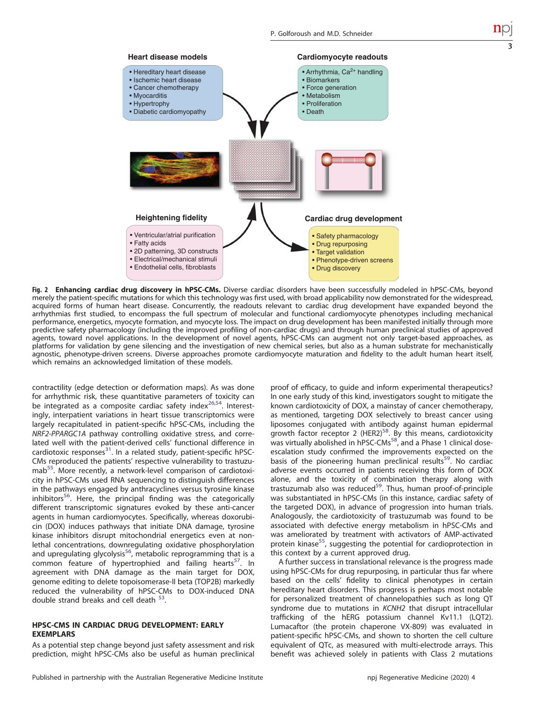<span id="page-2-0"></span>

3

**Fig. 2 Enhancing cardiac drug discovery in hPSC-CMs.** Diverse cardiac disorders have been successfully modeled in hPSC-CMs, beyond<br>merely the patient-specific mutations for which this technology was first used, with broad acquired forms of human heart disease. Concurrently, the readouts relevant to cardiac drug development have expanded beyond the arrhythmias first studied, to encompass the full spectrum of molecular and functional cardiomyocyte phenotypes including mechanical performance, energetics, myocyte formation, and myocyte loss. The impact on drug development has been manifested initially through more predictive safety pharmacology (including the improved profiling of non-cardiac drugs) and through human preclinical studies of approved agents, toward novel applications. In the development of novel agents, hPSC-CMs can augment not only target-based approaches, as platforms for validation by gene silencing and the investigation of new chemical series, but also as a human substrate for mechanistically agnostic, phenotype-driven screens. Diverse approaches promote cardiomyocyte maturation and fidelity to the adult human heart itself, which remains an acknowledged limitation of these models.

contractility (edge detection or deformation maps). As was done for arrhythmic risk, these quantitative parameters of toxicity can be integrated as a composite cardiac safety index $^{26,54}$  $^{26,54}$  $^{26,54}$  $^{26,54}$ . Interestingly, interpatient variations in heart tissue transcriptomics were largely recapitulated in patient-specific hPSC-CMs, including the NRF2-PPARGC1A pathway controlling oxidative stress, and correlated well with the patient-derived cells' functional difference in cardiotoxic responses $31$ . In a related study, patient-specific hPSC-CMs reproduced the patients' respective vulnerability to trastuzumab<sup>55</sup>. More recently, a network-level comparison of cardiotoxicity in hPSC-CMs used RNA sequencing to distinguish differences in the pathways engaged by anthracyclines versus tyrosine kinase inhibitors<sup>56</sup>. Here, the principal finding was the categorically different transcriptomic signatures evoked by these anti-cancer agents in human cardiomyocytes. Specifically, whereas doxorubicin (DOX) induces pathways that initiate DNA damage, tyrosine kinase inhibitors disrupt mitochondrial energetics even at nonlethal concentrations, downregulating oxidative phosphorylation and upregulating glycolysis<sup>56</sup>, metabolic reprogramming that is a common feature of hypertrophied and failing hearts<sup>57</sup>. In agreement with DNA damage as the main target for DOX, genome editing to delete topoisomerase-II beta (TOP2B) markedly reduced the vulnerability of hPSC-CMs to DOX-induced DNA double strand breaks and cell death <sup>53</sup>.

# HPSC-CMS IN CARDIAC DRUG DEVELOPMENT: EARLY EXEMPLARS

As a potential step change beyond just safety assessment and risk prediction, might hPSC-CMs also be useful as human preclinical proof of efficacy, to guide and inform experimental therapeutics? In one early study of this kind, investigators sought to mitigate the known cardiotoxicity of DOX, a mainstay of cancer chemotherapy, as mentioned, targeting DOX selectively to breast cancer using liposomes conjugated with antibody against human epidermal growth factor receptor 2 (HER2)<sup>[58](#page-7-0)</sup>. By this means, cardiotoxicity was virtually abolished in hPSC-CMs<sup>[58](#page-7-0)</sup>, and a Phase 1 clinical doseescalation study confirmed the improvements expected on the basis of the pioneering human preclinical results<sup>[59](#page-7-0)</sup>. No cardiac adverse events occurred in patients receiving this form of DOX alone, and the toxicity of combination therapy along with trastuzumab also was reduced<sup>59</sup>. Thus, human proof-of-principle was substantiated in hPSC-CMs (in this instance, cardiac safety of the targeted DOX), in advance of progression into human trials. Analogously, the cardiotoxicity of trastuzumab was found to be associated with defective energy metabolism in hPSC-CMs and was ameliorated by treatment with activators of AMP-activated protein kinase<sup>55</sup>, suggesting the potential for cardioprotection in this context by a current approved drug.

A further success in translational relevance is the progress made using hPSC-CMs for drug repurposing, in particular thus far where based on the cells' fidelity to clinical phenotypes in certain hereditary heart disorders. This progress is perhaps most notable for personalized treatment of channelopathies such as long QT syndrome due to mutations in KCNH2 that disrupt intracellular trafficking of the hERG potassium channel Kv11.1 (LQT2). Lumacaftor (the protein chaperone VX-809) was evaluated in patient-specific hPSC-CMs, and shown to shorten the cell culture equivalent of QTc, as measured with multi-electrode arrays. This benefit was achieved solely in patients with Class 2 mutations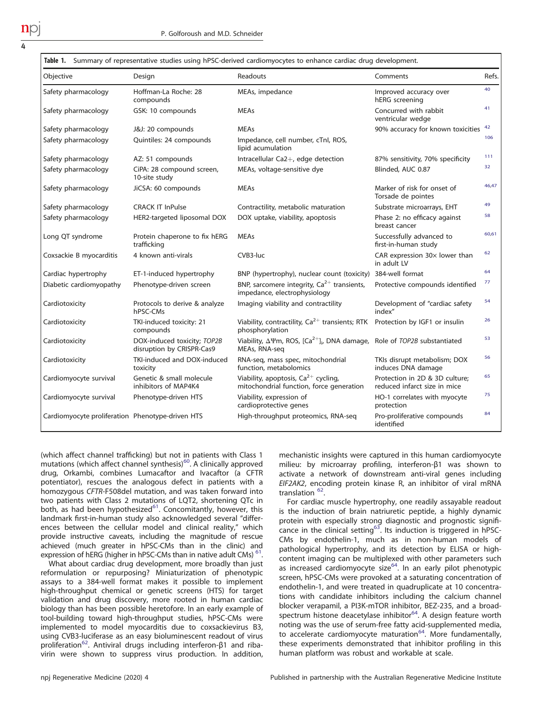<span id="page-3-0"></span>4

| Objective                                        | Design                                                   | Readouts                                                                                                                            | Comments                                                       | Refs. |
|--------------------------------------------------|----------------------------------------------------------|-------------------------------------------------------------------------------------------------------------------------------------|----------------------------------------------------------------|-------|
| Safety pharmacology                              | Hoffman-La Roche: 28<br>compounds                        | MEAs, impedance                                                                                                                     | Improved accuracy over<br>hERG screening                       | 40    |
| Safety pharmacology                              | GSK: 10 compounds                                        | <b>MEAs</b>                                                                                                                         | Concurred with rabbit<br>ventricular wedge                     | 41    |
| Safety pharmacology                              | J&J: 20 compounds                                        | <b>MEAs</b>                                                                                                                         | 90% accuracy for known toxicities                              | 42    |
| Safety pharmacology                              | Quintiles: 24 compounds                                  | Impedance, cell number, cTnl, ROS,<br>lipid acumulation                                                                             |                                                                | 106   |
| Safety pharmacology                              | AZ: 51 compounds                                         | Intracellular Ca2+, edge detection                                                                                                  | 87% sensitivity, 70% specificity                               | 111   |
| Safety pharmacology                              | CiPA: 28 compound screen,<br>10-site study               | MEAs, voltage-sensitive dye                                                                                                         | Blinded, AUC 0.87                                              | 32    |
| Safety pharmacology                              | JiCSA: 60 compounds                                      | <b>MEAs</b>                                                                                                                         | Marker of risk for onset of<br>Torsade de pointes              | 46,47 |
| Safety pharmacology                              | <b>CRACK IT InPulse</b>                                  | Contractility, metabolic maturation                                                                                                 | Substrate microarrays, EHT                                     | 49    |
| Safety pharmacology                              | HER2-targeted liposomal DOX                              | DOX uptake, viability, apoptosis                                                                                                    | Phase 2: no efficacy against<br>breast cancer                  | 58    |
| Long QT syndrome                                 | Protein chaperone to fix hERG<br>trafficking             | <b>MEAs</b>                                                                                                                         | Successfully advanced to<br>first-in-human study               | 60,61 |
| Coxsackie B myocarditis                          | 4 known anti-virals                                      | CVB3-luc                                                                                                                            | CAR expression 30x lower than<br>in adult LV                   | 62    |
| Cardiac hypertrophy                              | ET-1-induced hypertrophy                                 | BNP (hypertrophy), nuclear count (toxicity)                                                                                         | 384-well format                                                | 64    |
| Diabetic cardiomyopathy                          | Phenotype-driven screen                                  | BNP, sarcomere integrity, $Ca^{2+}$ transients,<br>impedance, electrophysiology                                                     | Protective compounds identified                                | 77    |
| Cardiotoxicity                                   | Protocols to derive & analyze<br>hPSC-CMs                | Imaging viability and contractility                                                                                                 | Development of "cardiac safety<br>index"                       | 54    |
| Cardiotoxicity                                   | TKI-induced toxicity: 21<br>compounds                    | Viability, contractility, $Ca^{2+}$ transients; RTK<br>phosphorylation                                                              | Protection by IGF1 or insulin                                  | 26    |
| Cardiotoxicity                                   | DOX-induced toxicity; TOP2B<br>disruption by CRISPR-Cas9 | Viability, $\Delta \Psi$ m, ROS, [Ca <sup>2+</sup> ] <sub>i</sub> , DNA damage, Role of <i>TOP2B</i> substantiated<br>MEAs, RNA-seq |                                                                | 53    |
| Cardiotoxicity                                   | TKI-induced and DOX-induced<br>toxicity                  | RNA-seq, mass spec, mitochondrial<br>function, metabolomics                                                                         | TKIs disrupt metabolism; DOX<br>induces DNA damage             | 56    |
| Cardiomyocyte survival                           | Genetic & small molecule<br>inhibitors of MAP4K4         | Viability, apoptosis, $Ca^{2+}$ cycling,<br>mitochondrial function, force generation                                                | Protection in 2D & 3D culture:<br>reduced infarct size in mice | 65    |
| Cardiomyocyte survival                           | Phenotype-driven HTS                                     | Viability, expression of<br>cardioprotective genes                                                                                  | HO-1 correlates with myocyte<br>protection                     | 75    |
| Cardiomyocyte proliferation Phenotype-driven HTS |                                                          | High-throughput proteomics, RNA-seg                                                                                                 | Pro-proliferative compounds<br>identified                      | 84    |

(which affect channel trafficking) but not in patients with Class 1 mutations (which affect channel synthesis)<sup>60</sup>. A clinically approved drug, Orkambi, combines Lumacaftor and Ivacaftor (a CFTR potentiator), rescues the analogous defect in patients with a homozygous CFTR-F508del mutation, and was taken forward into two patients with Class 2 mutations of LQT2, shortening QTc in both, as had been hypothesized<sup>[61](#page-7-0)</sup>. Concomitantly, however, this landmark first-in-human study also acknowledged several "differences between the cellular model and clinical reality," which provide instructive caveats, including the magnitude of rescue achieved (much greater in hPSC-CMs than in the clinic) and expression of hERG (higher in hPSC-CMs than in native adult CMs)<sup>61</sup>.

What about cardiac drug development, more broadly than just reformulation or repurposing? Miniaturization of phenotypic assays to a 384-well format makes it possible to implement high-throughput chemical or genetic screens (HTS) for target validation and drug discovery, more rooted in human cardiac biology than has been possible heretofore. In an early example of tool-building toward high-throughput studies, hPSC-CMs were implemented to model myocarditis due to coxsackievirus B3, using CVB3-luciferase as an easy bioluminescent readout of virus proliferation<sup>[62](#page-7-0)</sup>. Antiviral drugs including interferon-β1 and ribavirin were shown to suppress virus production. In addition,

mechanistic insights were captured in this human cardiomyocyte milieu: by microarray profiling, interferon-β1 was shown to activate a network of downstream anti-viral genes including EIF2AK2, encoding protein kinase R, an inhibitor of viral mRNA translation <sup>62</sup>.

For cardiac muscle hypertrophy, one readily assayable readout is the induction of brain natriuretic peptide, a highly dynamic protein with especially strong diagnostic and prognostic significance in the clinical setting $63$ . Its induction is triggered in hPSC-CMs by endothelin-1, much as in non-human models of pathological hypertrophy, and its detection by ELISA or highcontent imaging can be multiplexed with other parameters such as increased cardiomyocyte size $64$ . In an early pilot phenotypic screen, hPSC-CMs were provoked at a saturating concentration of endothelin-1, and were treated in quadruplicate at 10 concentrations with candidate inhibitors including the calcium channel blocker verapamil, a PI3K-mTOR inhibitor, BEZ-235, and a broad-spectrum histone deacetylase inhibitor<sup>[64](#page-7-0)</sup>. A design feature worth noting was the use of serum-free fatty acid-supplemented media, to accelerate cardiomyocyte maturation<sup>64</sup>. More fundamentally, these experiments demonstrated that inhibitor profiling in this human platform was robust and workable at scale.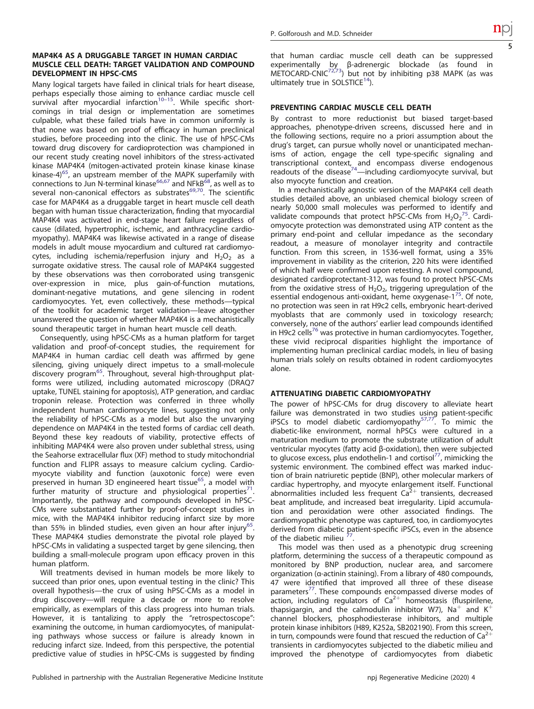# MAP4K4 AS A DRUGGABLE TARGET IN HUMAN CARDIAC MUSCLE CELL DEATH: TARGET VALIDATION AND COMPOUND DEVELOPMENT IN HPSC-CMS

Many logical targets have failed in clinical trials for heart disease, perhaps especially those aiming to enhance cardiac muscle cell survival after myocardial infarction<sup>[10](#page-6-0)–[15](#page-6-0)</sup>. While specific shortcomings in trial design or implementation are sometimes culpable, what these failed trials have in common uniformly is that none was based on proof of efficacy in human preclinical studies, before proceeding into the clinic. The use of hPSC-CMs toward drug discovery for cardioprotection was championed in our recent study creating novel inhibitors of the stress-activated kinase MAP4K4 (mitogen-activated protein kinase kinase kinase kinase-4)<sup>[65](#page-7-0)</sup>, an upstream member of the MAPK superfamily with connections to Jun N-terminal kinase<sup>[66](#page-7-0),[67](#page-7-0)</sup> and NFkB<sup>68</sup>, as well as to several non-canonical effectors as substrates<sup>[69](#page-7-0),[70](#page-7-0)</sup>. The scientific case for MAP4K4 as a druggable target in heart muscle cell death began with human tissue characterization, finding that myocardial MAP4K4 was activated in end-stage heart failure regardless of cause (dilated, hypertrophic, ischemic, and anthracycline cardiomyopathy). MAP4K4 was likewise activated in a range of disease models in adult mouse myocardium and cultured rat cardiomyocytes, including ischemia/reperfusion injury and  $H_2O_2$  as a surrogate oxidative stress. The causal role of MAP4K4 suggested by these observations was then corroborated using transgenic over-expression in mice, plus gain-of-function mutations, dominant-negative mutations, and gene silencing in rodent cardiomyocytes. Yet, even collectively, these methods—typical of the toolkit for academic target validation—leave altogether unanswered the question of whether MAP4K4 is a mechanistically sound therapeutic target in human heart muscle cell death.

Consequently, using hPSC-CMs as a human platform for target validation and proof-of-concept studies, the requirement for MAP4K4 in human cardiac cell death was affirmed by gene silencing, giving uniquely direct impetus to a small-molecule discovery program<sup>[65](#page-7-0)</sup>. Throughout, several high-throughput platforms were utilized, including automated microscopy (DRAQ7 uptake, TUNEL staining for apoptosis), ATP generation, and cardiac troponin release. Protection was conferred in three wholly independent human cardiomyocyte lines, suggesting not only the reliability of hPSC-CMs as a model but also the unvarying dependence on MAP4K4 in the tested forms of cardiac cell death. Beyond these key readouts of viability, protective effects of inhibiting MAP4K4 were also proven under sublethal stress, using the Seahorse extracellular flux (XF) method to study mitochondrial function and FLIPR assays to measure calcium cycling. Cardiomyocyte viability and function (auxotonic force) were even preserved in human 3D engineered heart tissue<sup>65</sup>, a model with further maturity of structure and physiological properties<sup>[71](#page-7-0)</sup>. Importantly, the pathway and compounds developed in hPSC-CMs were substantiated further by proof-of-concept studies in mice, with the MAP4K4 inhibitor reducing infarct size by more than 55% in blinded studies, even given an hour after injury<sup>[65](#page-7-0)</sup>. These MAP4K4 studies demonstrate the pivotal role played by hPSC-CMs in validating a suspected target by gene silencing, then building a small-molecule program upon efficacy proven in this human platform.

Will treatments devised in human models be more likely to succeed than prior ones, upon eventual testing in the clinic? This overall hypothesis—the crux of using hPSC-CMs as a model in drug discovery—will require a decade or more to resolve empirically, as exemplars of this class progress into human trials. However, it is tantalizing to apply the "retrospectoscope": examining the outcome, in human cardiomyocytes, of manipulating pathways whose success or failure is already known in reducing infarct size. Indeed, from this perspective, the potential predictive value of studies in hPSC-CMs is suggested by finding that human cardiac muscle cell death can be suppressed experimentally by β-adrenergic blockade (as found in<br>METOCARD-CNIC<sup>[72,73](#page-7-0)</sup>) but not by inhibiting p38 MAPK (as was ultimately true in SOLSTICE $14$ ).

# PREVENTING CARDIAC MUSCLE CELL DEATH

By contrast to more reductionist but biased target-based approaches, phenotype-driven screens, discussed here and in the following sections, require no a priori assumption about the drug's target, can pursue wholly novel or unanticipated mechanisms of action, engage the cell type-specific signaling and transcriptional context, and encompass diverse endogenous readouts of the disease<sup>[74](#page-7-0)</sup>—including cardiomyocyte survival, but also myocyte function and creation.

In a mechanistically agnostic version of the MAP4K4 cell death studies detailed above, an unbiased chemical biology screen of nearly 50,000 small molecules was performed to identify and validate compounds that protect hPSC-CMs from  $H_2O_2^{75}$  $H_2O_2^{75}$  $H_2O_2^{75}$ . Cardiomyocyte protection was demonstrated using ATP content as the primary end-point and cellular impedance as the secondary readout, a measure of monolayer integrity and contractile function. From this screen, in 1536-well format, using a 35% improvement in viability as the criterion, 220 hits were identified of which half were confirmed upon retesting. A novel compound, designated cardioprotectant-312, was found to protect hPSC-CMs from the oxidative stress of  $H_2O_2$ , triggering upregulation of the essential endogenous anti-oxidant, heme oxygenase- $1^{75}$ . Of note, no protection was seen in rat H9c2 cells, embryonic heart-derived myoblasts that are commonly used in toxicology research; conversely, none of the authors' earlier lead compounds identified in H9c2 cells<sup>[76](#page-7-0)</sup> was protective in human cardiomyocytes. Together, these vivid reciprocal disparities highlight the importance of implementing human preclinical cardiac models, in lieu of basing human trials solely on results obtained in rodent cardiomyocytes alone.

# ATTENUATING DIABETIC CARDIOMYOPATHY

The power of hPSC-CMs for drug discovery to alleviate heart failure was demonstrated in two studies using patient-specific iPSCs to model diabetic cardiomyopathy $57,77$  $57,77$ . To mimic the diabetic-like environment, normal hPSCs were cultured in a maturation medium to promote the substrate utilization of adult ventricular myocytes (fatty acid β-oxidation), then were subjected to glucose excess, plus endothelin-1 and cortisol<sup>77</sup>, mimicking the systemic environment. The combined effect was marked induction of brain natriuretic peptide (BNP), other molecular markers of cardiac hypertrophy, and myocyte enlargement itself. Functional abnormalities included less frequent  $Ca^{2+}$  transients, decreased beat amplitude, and increased beat irregularity. Lipid accumulation and peroxidation were other associated findings. The cardiomyopathic phenotype was captured, too, in cardiomyocytes derived from diabetic patient-specific iPSCs, even in the absence of the diabetic milieu

This model was then used as a phenotypic drug screening platform, determining the success of a therapeutic compound as monitored by BNP production, nuclear area, and sarcomere organization (α-actinin staining). From a library of 480 compounds, 47 were identified that improved all three of these disease parameters<sup>[77](#page-7-0)</sup>. These compounds encompassed diverse modes of action, including regulators of  $Ca^{2+}$  homeostasis (fluspirilene, thapsigargin, and the calmodulin inhibitor W7), Na<sup>+</sup> and K<sup>+</sup> channel blockers, phosphodiesterase inhibitors, and multiple protein kinase inhibitors (H89, K252a, SB202190). From this screen, in turn, compounds were found that rescued the reduction of  $Ca^{2+}$ transients in cardiomyocytes subjected to the diabetic milieu and improved the phenotype of cardiomyocytes from diabetic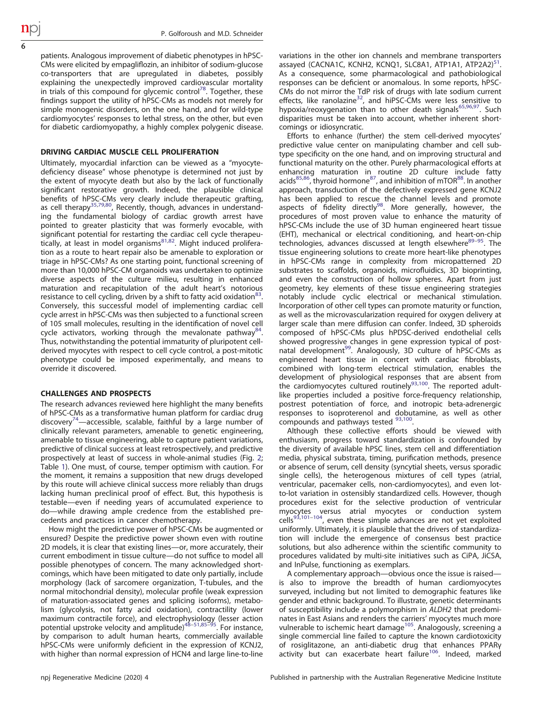patients. Analogous improvement of diabetic phenotypes in hPSC-CMs were elicited by empagliflozin, an inhibitor of sodium-glucose co-transporters that are upregulated in diabetes, possibly explaining the unexpectedly improved cardiovascular mortality in trials of this compound for glycemic control<sup>78</sup>. Together, these findings support the utility of hPSC-CMs as models not merely for simple monogenic disorders, on the one hand, and for wild-type cardiomyocytes' responses to lethal stress, on the other, but even for diabetic cardiomyopathy, a highly complex polygenic disease.

#### DRIVING CARDIAC MUSCLE CELL PROLIFERATION

Ultimately, myocardial infarction can be viewed as a "myocytedeficiency disease" whose phenotype is determined not just by the extent of myocyte death but also by the lack of functionally significant restorative growth. Indeed, the plausible clinical benefits of hPSC-CMs very clearly include therapeutic grafting, as cell therapy<sup>[35](#page-6-0)[,79](#page-7-0),[80](#page-7-0)</sup>, Recently, though, advances in understanding the fundamental biology of cardiac growth arrest have pointed to greater plasticity that was formerly evocable, with significant potential for restarting the cardiac cell cycle therapeutically, at least in model organisms $81,82$ . Might induced proliferation as a route to heart repair also be amenable to exploration or triage in hPSC-CMs? As one starting point, functional screening of more than 10,000 hPSC-CM organoids was undertaken to optimize diverse aspects of the culture milieu, resulting in enhanced maturation and recapitulation of the adult heart's notorious resistance to cell cycling, driven by a shift to fatty acid oxidation<sup>83</sup>. Conversely, this successful model of implementing cardiac cell cycle arrest in hPSC-CMs was then subjected to a functional screen of 105 small molecules, resulting in the identification of novel cell cycle activators, working through the mevalonate pathway<sup>84</sup>. Thus, notwithstanding the potential immaturity of pluripotent cellderived myocytes with respect to cell cycle control, a post-mitotic phenotype could be imposed experimentally, and means to override it discovered.

# CHALLENGES AND PROSPECTS

The research advances reviewed here highlight the many benefits of hPSC-CMs as a transformative human platform for cardiac drug discovery<sup>[74](#page-7-0)</sup>—accessible, scalable, faithful by a large number of clinically relevant parameters, amenable to genetic engineering, amenable to tissue engineering, able to capture patient variations, predictive of clinical success at least retrospectively, and predictive prospectively at least of success in whole-animal studies (Fig. [2;](#page-2-0) Table [1\)](#page-3-0). One must, of course, temper optimism with caution. For the moment, it remains a supposition that new drugs developed by this route will achieve clinical success more reliably than drugs lacking human preclinical proof of effect. But, this hypothesis is testable—even if needing years of accumulated experience to do—while drawing ample credence from the established precedents and practices in cancer chemotherapy.

How might the predictive power of hPSC-CMs be augmented or ensured? Despite the predictive power shown even with routine 2D models, it is clear that existing lines—or, more accurately, their current embodiment in tissue culture—do not suffice to model all possible phenotypes of concern. The many acknowledged shortcomings, which have been mitigated to date only partially, include morphology (lack of sarcomere organization, T-tubules, and the normal mitochondrial density), molecular profile (weak expression of maturation-associated genes and splicing isoforms), metabolism (glycolysis, not fatty acid oxidation), contractility (lower maximum contractile force), and electrophysiology (lesser action<br>potential upstroke velocity and amplitude)<sup>[48](#page-7-0)–[51,85](#page-7-0)–[95](#page-7-0)</sup>. For instance, by comparison to adult human hearts, commercially available hPSC-CMs were uniformly deficient in the expression of KCNJ2, with higher than normal expression of HCN4 and large line-to-line variations in the other ion channels and membrane transporters assayed (CACNA1C, KCNH2, KCNQ1, SLC8A1, ATP1A1, ATP2A2)<sup>51</sup>. As a consequence, some pharmacological and pathobiological responses can be deficient or anomalous. In some reports, hPSC-CMs do not mirror the TdP risk of drugs with late sodium current effects, like ranolazine<sup>32</sup>, and hiPSC-CMs were less sensitive to hypoxia/reoxygenation than to other death signals<sup>[65,96,97](#page-7-0)</sup>. Such disparities must be taken into account, whether inherent shortcomings or idiosyncratic.

Efforts to enhance (further) the stem cell-derived myocytes' predictive value center on manipulating chamber and cell subtype specificity on the one hand, and on improving structural and functional maturity on the other. Purely pharmacological efforts at enhancing maturation in routine 2D culture include fatty acids<sup>85,[86](#page-7-0)</sup>, thyroid hormone<sup>87</sup>, and inhibition of mTOR<sup>88</sup>. In another approach, transduction of the defectively expressed gene KCNJ2 has been applied to rescue the channel levels and promote aspects of fidelity directly<sup>98</sup>. More generally, however, the procedures of most proven value to enhance the maturity of hPSC-CMs include the use of 3D human engineered heart tissue (EHT), mechanical or electrical conditioning, and heart-on-chip technologies, advances discussed at length elsewhere $89-95$ . The tissue engineering solutions to create more heart-like phenotypes in hPSC-CMs range in complexity from micropatterned 2D substrates to scaffolds, organoids, microfluidics, 3D bioprinting, and even the construction of hollow spheres. Apart from just geometry, key elements of these tissue engineering strategies notably include cyclic electrical or mechanical stimulation. Incorporation of other cell types can promote maturity or function, as well as the microvascularization required for oxygen delivery at larger scale than mere diffusion can confer. Indeed, 3D spheroids composed of hPSC-CMs plus hPDSC-derived endothelial cells showed progressive changes in gene expression typical of postnatal development<sup>99</sup>. Analogously, 3D culture of hPSC-CMs as engineered heart tissue in concert with cardiac fibroblasts, combined with long-term electrical stimulation, enables the development of physiological responses that are absent from the cardiomyocytes cultured routinely<sup>[93,100](#page-7-0)</sup>. The reported adultlike properties included a positive force-frequency relationship, postrest potentiation of force, and inotropic beta-adrenergic responses to isoproterenol and dobutamine, as well as other compounds and pathways tested [93](#page-7-0),[100.](#page-7-0)

Although these collective efforts should be viewed with enthusiasm, progress toward standardization is confounded by the diversity of available hPSC lines, stem cell and differentiation media, physical substrata, timing, purification methods, presence or absence of serum, cell density (syncytial sheets, versus sporadic single cells), the heterogenous mixtures of cell types (atrial, ventricular, pacemaker cells, non-cardiomyocytes), and even lotto-lot variation in ostensibly standardized cells. However, though procedures exist for the selective production of ventricular myocytes versus atrial myocytes or conduction system cells<sup>[93](#page-7-0),[101](#page-7-0)–104</sup>, even these simple advances are not yet exploited uniformly. Ultimately, it is plausible that the drivers of standardization will include the emergence of consensus best practice solutions, but also adherence within the scientific community to procedures validated by multi-site initiatives such as CiPA, JiCSA, and InPulse, functioning as exemplars.

A complementary approach—obvious once the issue is raised is also to improve the breadth of human cardiomyocytes surveyed, including but not limited to demographic features like gender and ethnic background. To illustrate, genetic determinants of susceptibility include a polymorphism in ALDH2 that predominates in East Asians and renders the carriers' myocytes much more vulnerable to ischemic heart damage<sup>105</sup>. Analogously, screening a single commercial line failed to capture the known cardiotoxicity of rosiglitazone, an anti-diabetic drug that enhances PPARγ activity but can exacerbate heart failure<sup>[106](#page-8-0)</sup>. Indeed, marked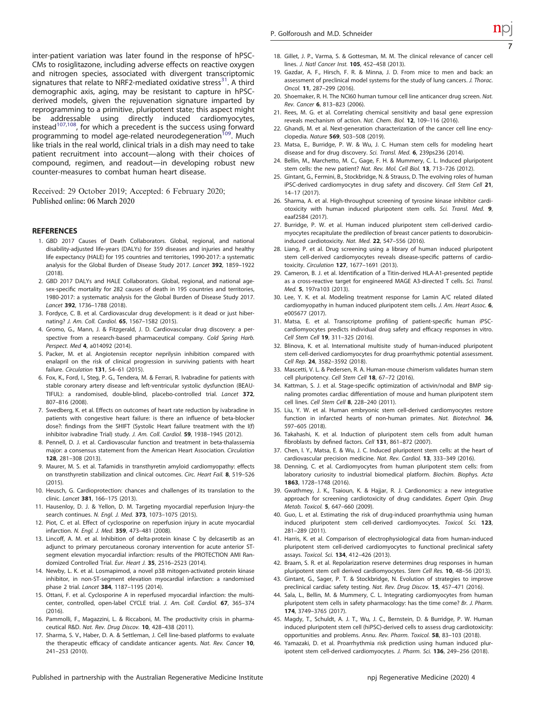<span id="page-6-0"></span>inter-patient variation was later found in the response of hPSC-CMs to rosiglitazone, including adverse effects on reactive oxygen and nitrogen species, associated with divergent transcriptomic signatures that relate to NRF2-mediated oxidative stress<sup>31</sup>. A third demographic axis, aging, may be resistant to capture in hPSCderived models, given the rejuvenation signature imparted by reprogramming to a primitive, pluripotent state; this aspect might be addressable using directly induced cardiomyocytes, instead $107,108$  $107,108$  $107,108$ , for which a precedent is the success using forward programming to model age-related neurodegeneration<sup>109</sup>. Much like trials in the real world, clinical trials in a dish may need to take patient recruitment into account—along with their choices of compound, regimen, and readout—in developing robust new counter-measures to combat human heart disease.

Received: 29 October 2019; Accepted: 6 February 2020; Published online: 06 March 2020

#### **REFERENCES**

- 1. GBD 2017 Causes of Death Collaborators. Global, regional, and national disability-adjusted life-years (DALYs) for 359 diseases and injuries and healthy life expectancy (HALE) for 195 countries and territories, 1990-2017: a systematic analysis for the Global Burden of Disease Study 2017. Lancet 392, 1859–1922 (2018).
- 2. GBD 2017 DALYs and HALE Collaborators. Global, regional, and national agesex-specific mortality for 282 causes of death in 195 countries and territories, 1980-2017: a systematic analysis for the Global Burden of Disease Study 2017. Lancet 392, 1736–1788 (2018).
- 3. Fordyce, C. B. et al. Cardiovascular drug development: is it dead or just hibernating? J. Am. Coll. Cardiol. 65, 1567–1582 (2015).
- 4. Gromo, G., Mann, J. & Fitzgerald, J. D. Cardiovascular drug discovery: a perspective from a research-based pharmaceutical company. Cold Spring Harb. Perspect. Med 4, a014092 (2014).
- 5. Packer, M. et al. Angiotensin receptor neprilysin inhibition compared with enalapril on the risk of clinical progression in surviving patients with heart failure. Circulation 131, 54–61 (2015).
- 6. Fox, K., Ford, I., Steg, P. G., Tendera, M. & Ferrari, R. Ivabradine for patients with stable coronary artery disease and left-ventricular systolic dysfunction (BEAU-TIFUL): a randomised, double-blind, placebo-controlled trial. Lancet 372, 807–816 (2008).
- 7. Swedberg, K. et al. Effects on outcomes of heart rate reduction by ivabradine in patients with congestive heart failure: is there an influence of beta-blocker dose?: findings from the SHIFT (Systolic Heart failure treatment with the I(f) inhibitor ivabradine Trial) study. J. Am. Coll. Cardiol. 59, 1938-1945 (2012).
- 8. Pennell, D. J. et al. Cardiovascular function and treatment in beta-thalassemia major: a consensus statement from the American Heart Association. Circulation 128, 281–308 (2013).
- 9. Maurer, M. S. et al. Tafamidis in transthyretin amyloid cardiomyopathy: effects on transthyretin stabilization and clinical outcomes. Circ. Heart Fail. 8, 519-526  $(2015)$
- 10. Heusch, G. Cardioprotection: chances and challenges of its translation to the clinic. Lancet 381, 166–175 (2013).
- 11. Hausenloy, D. J. & Yellon, D. M. Targeting myocardial reperfusion Injury–the search continues. N. Engl. J. Med. 373, 1073-1075 (2015).
- 12. Piot, C. et al. Effect of cyclosporine on reperfusion injury in acute myocardial infarction. N. Engl. J. Med. 359, 473–481 (2008).
- 13. Lincoff, A. M. et al. Inhibition of delta-protein kinase C by delcasertib as an adjunct to primary percutaneous coronary intervention for acute anterior STsegment elevation myocardial infarction: results of the PROTECTION AMI Randomized Controlled Trial. Eur. Heart J. 35, 2516–2523 (2014).
- 14. Newby, L. K. et al. Losmapimod, a novel p38 mitogen-activated protein kinase inhibitor, in non-ST-segment elevation myocardial infarction: a randomised phase 2 trial. Lancet 384, 1187–1195 (2014).
- 15. Ottani, F. et al. Cyclosporine A in reperfused myocardial infarction: the multicenter, controlled, open-label CYCLE trial. J. Am. Coll. Cardiol. 67, 365–374  $(2016)$
- 16. Pammolli, F., Magazzini, L. & Riccaboni, M. The productivity crisis in pharmaceutical R&D. Nat. Rev. Drug Discov. 10, 428–438 (2011).
- 17. Sharma, S. V., Haber, D. A. & Settleman, J. Cell line-based platforms to evaluate the therapeutic efficacy of candidate anticancer agents. Nat. Rev. Cancer 10, 241–253 (2010).
- 18. Gillet, J. P., Varma, S. & Gottesman, M. M. The clinical relevance of cancer cell lines. J. Natl Cancer Inst. 105, 452–458 (2013).
- 19. Gazdar, A. F., Hirsch, F. R. & Minna, J. D. From mice to men and back: an assessment of preclinical model systems for the study of lung cancers. J. Thorac. Oncol. 11, 287–299 (2016).
- 20. Shoemaker, R. H. The NCI60 human tumour cell line anticancer drug screen. Nat. Rev. Cancer 6, 813–823 (2006).
- 21. Rees, M. G. et al. Correlating chemical sensitivity and basal gene expression reveals mechanism of action. Nat. Chem. Biol. 12, 109–116 (2016).
- 22. Ghandi, M. et al. Next-generation characterization of the cancer cell line encyclopedia. Nature 569, 503–508 (2019).
- 23. Matsa, E., Burridge, P. W. & Wu, J. C. Human stem cells for modeling heart disease and for drug discovery. Sci. Transl. Med. 6, 239ps236 (2014).
- 24. Bellin, M., Marchetto, M. C., Gage, F. H. & Mummery, C. L. Induced pluripotent stem cells: the new patient? Nat. Rev. Mol. Cell Biol. 13, 713-726 (2012).
- 25. Gintant, G., Fermini, B., Stockbridge, N. & Strauss, D. The evolving roles of human iPSC-derived cardiomyocytes in drug safety and discovery. Cell Stem Cell 21, 14–17 (2017).
- 26. Sharma, A. et al. High-throughput screening of tyrosine kinase inhibitor cardiotoxicity with human induced pluripotent stem cells. Sci. Transl. Med. 9, eaaf2584 (2017).
- 27. Burridge, P. W. et al. Human induced pluripotent stem cell-derived cardiomyocytes recapitulate the predilection of breast cancer patients to doxorubicininduced cardiotoxicity. Nat. Med. 22, 547–556 (2016).
- 28. Liang, P. et al. Drug screening using a library of human induced pluripotent stem cell-derived cardiomyocytes reveals disease-specific patterns of cardiotoxicity. Circulation 127, 1677–1691 (2013).
- 29. Cameron, B. J. et al. Identification of a Titin-derived HLA-A1-presented peptide as a cross-reactive target for engineered MAGE A3-directed T cells. Sci. Transl. Med. 5, 197ra103 (2013).
- 30. Lee, Y. K. et al. Modeling treatment response for Lamin A/C related dilated cardiomyopathy in human induced pluripotent stem cells. J. Am. Heart Assoc. 6, e005677 (2017).
- 31. Matsa, E. et al. Transcriptome profiling of patient-specific human iPSCcardiomyocytes predicts individual drug safety and efficacy responses in vitro. Cell Stem Cell 19, 311–325 (2016).
- 32. Blinova, K. et al. International multisite study of human-induced pluripotent stem cell-derived cardiomyocytes for drug proarrhythmic potential assessment. Cell Rep. 24, 3582–3592 (2018).
- 33. Mascetti, V. L. & Pedersen, R. A. Human-mouse chimerism validates human stem cell pluripotency. Cell Stem Cell 18, 67–72 (2016).
- 34. Kattman, S. J. et al. Stage-specific optimization of activin/nodal and BMP signaling promotes cardiac differentiation of mouse and human pluripotent stem cell lines. Cell Stem Cell 8, 228–240 (2011).
- 35. Liu, Y. W. et al. Human embryonic stem cell-derived cardiomyocytes restore function in infarcted hearts of non-human primates. Nat. Biotechnol. 36, 597–605 (2018).
- 36. Takahashi, K. et al. Induction of pluripotent stem cells from adult human fibroblasts by defined factors. Cell 131, 861–872 (2007).
- 37. Chen, I. Y., Matsa, E. & Wu, J. C. Induced pluripotent stem cells: at the heart of cardiovascular precision medicine. Nat. Rev. Cardiol. 13, 333–349 (2016).
- 38. Denning, C. et al. Cardiomyocytes from human pluripotent stem cells: from laboratory curiosity to industrial biomedical platform. Biochim. Biophys. Acta 1863, 1728–1748 (2016).
- 39. Gwathmey, J. K., Tsaioun, K. & Hajjar, R. J. Cardionomics: a new integrative approach for screening cardiotoxicity of drug candidates. Expert Opin. Drug Metab. Toxicol. 5, 647–660 (2009).
- 40. Guo, L. et al. Estimating the risk of drug-induced proarrhythmia using human induced pluripotent stem cell-derived cardiomyocytes. Toxicol. Sci. 123, 281–289 (2011).
- 41. Harris, K. et al. Comparison of electrophysiological data from human-induced pluripotent stem cell-derived cardiomyocytes to functional preclinical safety assays. Toxicol. Sci. 134, 412–426 (2013).
- 42. Braam, S. R. et al. Repolarization reserve determines drug responses in human pluripotent stem cell derived cardiomyocytes. Stem Cell Res. 10, 48–56 (2013).
- 43. Gintant, G., Sager, P. T. & Stockbridge, N. Evolution of strategies to improve preclinical cardiac safety testing. Nat. Rev. Drug Discov. 15, 457–471 (2016).
- 44. Sala, L., Bellin, M. & Mummery, C. L. Integrating cardiomyocytes from human pluripotent stem cells in safety pharmacology: has the time come? Br. J. Pharm. 174, 3749–3765 (2017).
- 45. Magdy, T., Schuldt, A. J. T., Wu, J. C., Bernstein, D. & Burridge, P. W. Human induced pluripotent stem cell (hiPSC)-derived cells to assess drug cardiotoxicity: opportunities and problems. Annu. Rev. Pharm. Toxicol. 58, 83–103 (2018).
- 46. Yamazaki, D. et al. Proarrhythmia risk prediction using human induced pluripotent stem cell-derived cardiomyocytes. J. Pharm. Sci. 136, 249-256 (2018).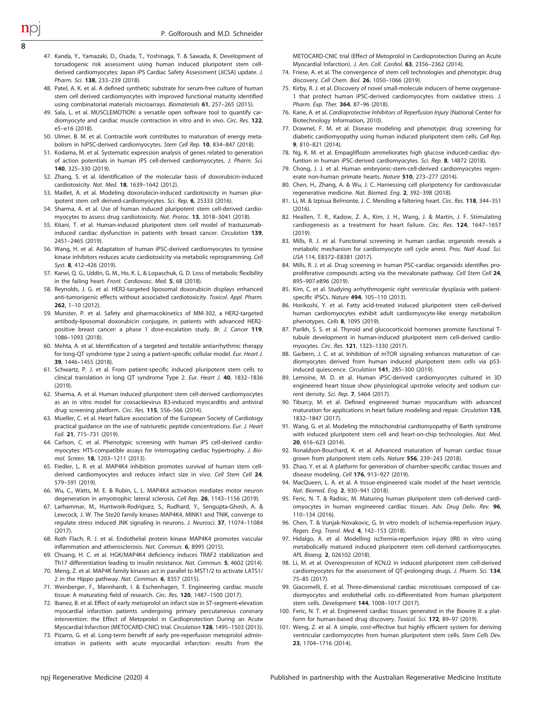- <span id="page-7-0"></span>47. Kanda, Y., Yamazaki, D., Osada, T., Yoshinaga, T. & Sawada, K. Development of torsadogenic risk assessment using human induced pluripotent stem cellderived cardiomyocytes: Japan iPS Cardiac Safety Assessment (JiCSA) update. J. Pharm. Sci. 138, 233–239 (2018).
- 48. Patel, A. K. et al. A defined synthetic substrate for serum-free culture of human stem cell derived cardiomyocytes with improved functional maturity identified using combinatorial materials microarrays. Biomaterials 61, 257–265 (2015).
- 49. Sala, L. et al. MUSCLEMOTION: a versatile open software tool to quantify cardiomyocyte and cardiac muscle contraction in vitro and in vivo. Circ. Res. 122, e5–e16 (2018).
- 50. Ulmer, B. M. et al. Contractile work contributes to maturation of energy metabolism in hiPSC-derived cardiomyocytes. Stem Cell Rep. 10, 834–847 (2018).
- 51. Kodama, M. et al. Systematic expression analysis of genes related to generation of action potentials in human iPS cell-derived cardiomyocytes. J. Pharm. Sci. 140, 325–330 (2019).
- 52. Zhang, S. et al. Identification of the molecular basis of doxorubicin-induced cardiotoxicity. Nat. Med. 18, 1639–1642 (2012).
- 53. Maillet, A. et al. Modeling doxorubicin-induced cardiotoxicity in human pluripotent stem cell derived-cardiomyocytes. Sci. Rep. 6, 25333 (2016).
- 54. Sharma, A. et al. Use of human induced pluripotent stem cell-derived cardiomyocytes to assess drug cardiotoxicity. Nat. Protoc. 13, 3018–3041 (2018).
- 55. Kitani, T. et al. Human-induced pluripotent stem cell model of trastuzumabinduced cardiac dysfunction in patients with breast cancer. Circulation 139, 2451–2465 (2019).
- 56. Wang, H. et al. Adaptation of human iPSC-derived cardiomyocytes to tyrosine kinase inhibitors reduces acute cardiotoxicity via metabolic reprogramming. Cell Syst. 8, 412–426 (2019).
- 57. Karwi, Q. G., Uddin, G. M., Ho, K. L. & Lopaschuk, G. D. Loss of metabolic flexibility in the failing heart. Front. Cardiovasc. Med. 5, 68 (2018).
- 58. Reynolds, J. G. et al. HER2-targeted liposomal doxorubicin displays enhanced anti-tumorigenic effects without associated cardiotoxicity. Toxicol. Appl. Pharm. 262, 1–10 (2012).
- 59. Munster, P. et al. Safety and pharmacokinetics of MM-302, a HER2-targeted antibody-liposomal doxorubicin conjugate, in patients with advanced HER2 positive breast cancer: a phase 1 dose-escalation study. Br. J. Cancer 119, 1086–1093 (2018).
- 60. Mehta, A. et al. Identification of a targeted and testable antiarrhythmic therapy for long-QT syndrome type 2 using a patient-specific cellular model. Eur. Heart J. 39, 1446–1455 (2018).
- 61. Schwartz, P. J. et al. From patient-specific induced pluripotent stem cells to clinical translation in long QT syndrome Type 2. Eur. Heart J. 40, 1832–1836  $(2019)$
- 62. Sharma, A. et al. Human induced pluripotent stem cell-derived cardiomyocytes as an in vitro model for coxsackievirus B3-induced myocarditis and antiviral drug screening platform. Circ. Res. 115, 556–566 (2014).
- 63. Mueller, C. et al. Heart failure association of the European Society of Cardiology practical guidance on the use of natriuretic peptide concentrations. Eur. J. Heart Fail. 21, 715–731 (2019).
- 64. Carlson, C. et al. Phenotypic screening with human iPS cell-derived cardiomyocytes: HTS-compatible assays for interrogating cardiac hypertrophy. J. Biomol. Screen. **18**, 1203-1211 (2013).
- 65. Fiedler, L. R. et al. MAP4K4 inhibition promotes survival of human stem cellderived cardiomyocytes and reduces infarct size in vivo. Cell Stem Cell 24, 579–591 (2019).
- 66. Wu, C., Watts, M. E. & Rubin, L. L. MAP4K4 activation mediates motor neuron degeneration in amyotrophic lateral sclerosis. Cell Rep. 26, 1143–1156 (2019).
- 67. Larhammar, M., Huntwork-Rodriguez, S., Rudhard, Y., Sengupta-Ghosh, A. & Lewcock, J. W. The Ste20 family kinases MAP4K4, MINK1 and TNIK, converge to regulate stress induced JNK signaling in neurons. J. Neurosci. 37, 11074–11084 (2017).
- 68. Roth Flach, R. J. et al. Endothelial protein kinase MAP4K4 promotes vascular inflammation and atherosclerosis. Nat. Commun. 6, 8995 (2015).
- 69. Chuang, H. C. et al. HGK/MAP4K4 deficiency induces TRAF2 stabilization and Th17 differentiation leading to insulin resistance. Nat. Commun. 5, 4602 (2014).
- 70. Meng, Z. et al. MAP4K family kinases act in parallel to MST1/2 to activate LATS1/ 2 in the Hippo pathway. Nat. Commun. 6, 8357 (2015).
- 71. Weinberger, F., Mannhardt, I. & Eschenhagen, T. Engineering cardiac muscle tissue: A maturating field of research. Circ. Res. 120, 1487-1500 (2017)
- 72. Ibanez, B. et al. Effect of early metoprolol on infarct size in ST-segment-elevation myocardial infarction patients undergoing primary percutaneous coronary intervention: the Effect of Metoprolol in Cardioprotection During an Acute Myocardial Infarction (METOCARD-CNIC) trial. Circulation 128, 1495–1503 (2013).
- 73. Pizarro, G. et al. Long-term benefit of early pre-reperfusion metoprolol administration in patients with acute myocardial infarction: results from the

METOCARD-CNIC trial (Effect of Metoprolol in Cardioprotection During an Acute Myocardial Infarction). J. Am. Coll. Cardiol. 63, 2356–2362 (2014).

- 74. Friese, A. et al. The convergence of stem cell technologies and phenotypic drug discovery. Cell Chem. Biol. 26, 1050–1066 (2019).
- 75. Kirby, R. J. et al. Discovery of novel small-molecule inducers of heme oxygenase-1 that protect human iPSC-derived cardiomyocytes from oxidative stress. J. Pharm. Exp. Ther. 364, 87–96 (2018).
- 76. Kane, A. et al. Cardioprotective Inhibitors of Reperfusion Injury (National Center for Biotechnology Information, 2010).
- 77. Drawnel, F. M. et al. Disease modeling and phenotypic drug screening for diabetic cardiomyopathy using human induced pluripotent stem cells. Cell Rep. 9, 810–821 (2014).
- 78. Ng, K. M. et al. Empagliflozin ammeliorates high glucose induced-cardiac dysfuntion in human iPSC-derived cardiomyocytes. Sci. Rep. 8, 14872 (2018).
- 79. Chong, J. J. et al. Human embryonic-stem-cell-derived cardiomyocytes regenerate non-human primate hearts. Nature 510, 273–277 (2014).
- 80. Chen, H., Zhang, A. & Wu, J. C. Harnessing cell pluripotency for cardiovascular regenerative medicine. Nat. Biomed. Eng. 2, 392–398 (2018).
- 81. Li, M. & Izpisua Belmonte, J. C. Mending a faltering heart. Circ. Res. 118, 344-351  $(2016)$
- 82. Heallen, T. R., Kadow, Z. A., Kim, J. H., Wang, J. & Martin, J. F. Stimulating cardiogenesis as a treatment for heart failure. Circ. Res. 124, 1647–1657 (2019).
- 83. Mills, R. J. et al. Functional screening in human cardiac organoids reveals a metabolic mechanism for cardiomyocyte cell cycle arrest. Proc. Natl Acad. Sci. USA 114, E8372–E8381 (2017).
- 84. Mills, R. J. et al. Drug screening in human PSC-cardiac organoids identifies proproliferative compounds acting via the mevalonate pathway. Cell Stem Cell 24, 895–907.e896 (2019).
- 85. Kim, C. et al. Studying arrhythmogenic right ventricular dysplasia with patientspecific iPSCs. Nature 494, 105–110 (2013).
- 86. Horikoshi, Y. et al. Fatty acid-treated induced pluripotent stem cell-derived human cardiomyocytes exhibit adult cardiomyocyte-like energy metabolism phenotypes. Cells 8, 1095 (2019).
- 87. Parikh, S. S. et al. Thyroid and glucocorticoid hormones promote functional Ttubule development in human-induced pluripotent stem cell-derived cardiomyocytes. Circ. Res. 121, 1323–1330 (2017).
- 88. Garbern, J. C. et al. Inhibition of mTOR signaling enhances maturation of cardiomyocytes derived from human induced pluripotent stem cells via p53 induced quiescence. Circulation 141, 285–300 (2019).
- 89. Lemoine, M. D. et al. Human iPSC-derived cardiomyocytes cultured in 3D engineered heart tissue show physiological upstroke velocity and sodium current density. Sci. Rep. 7, 5464 (2017).
- 90. Tiburcy, M. et al. Defined engineered human myocardium with advanced maturation for applications in heart failure modeling and repair. Circulation 135, 1832–1847 (2017).
- 91. Wang, G. et al. Modeling the mitochondrial cardiomyopathy of Barth syndrome with induced pluripotent stem cell and heart-on-chip technologies. Nat. Med. 20, 616–623 (2014).
- 92. Ronaldson-Bouchard, K. et al. Advanced maturation of human cardiac tissue grown from pluripotent stem cells. Nature 556, 239–243 (2018).
- 93. Zhao, Y. et al. A platform for generation of chamber-specific cardiac tissues and disease modeling. Cell 176, 913–927 (2019).
- 94. MacQueen, L. A. et al. A tissue-engineered scale model of the heart ventricle. Nat. Biomed. Eng. 2, 930–941 (2018).
- 95. Feric, N. T. & Radisic, M. Maturing human pluripotent stem cell-derived cardiomyocytes in human engineered cardiac tissues. Adv. Drug Deliv. Rev. 96, 110–134 (2016).
- 96. Chen, T. & Vunjak-Novakovic, G. In vitro models of ischemia-reperfusion injury. Regen. Eng. Transl. Med. 4, 142–153 (2018).
- 97. Hidalgo, A. et al. Modelling ischemia-reperfusion injury (IRI) in vitro using metabolically matured induced pluripotent stem cell-derived cardiomyocytes. APL Bioeng. 2, 026102 (2018).
- 98. Li, M. et al. Overexpression of KCNJ2 in induced pluripotent stem cell-derived cardiomyocytes for the assessment of QT-prolonging drugs. J. Pharm. Sci. 134, 75–85 (2017).
- 99. Giacomelli, E. et al. Three-dimensional cardiac microtissues composed of cardiomyocytes and endothelial cells co-differentiated from human pluripotent stem cells. Development 144, 1008–1017 (2017).
- 100. Feric, N. T. et al. Engineered cardiac tissues generated in the Biowire II: a platform for human-based drug discovery. Toxicol. Sci. 172, 89-97 (2019).
- 101. Weng, Z. et al. A simple, cost-effective but highly efficient system for deriving ventricular cardiomyocytes from human pluripotent stem cells. Stem Cells Dev. 23, 1704–1716 (2014).